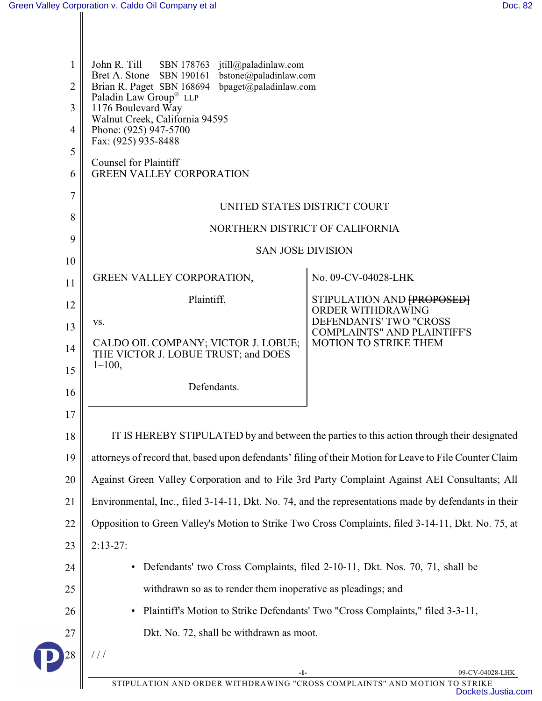| 1<br>$\overline{2}$<br>$\mathfrak{Z}$<br>4<br>5<br>6 | John R. Till<br>SBN 178763<br>jtill@paladinlaw.com<br>Bret A. Stone SBN 190161<br>bstone@paladinlaw.com<br>bpaget@paladinlaw.com<br>Brian R. Paget SBN 168694<br>Paladin Law Group® LLP<br>1176 Boulevard Way<br>Walnut Creek, California 94595<br>Phone: (925) 947-5700<br>Fax: (925) 935-8488<br><b>Counsel for Plaintiff</b><br><b>GREEN VALLEY CORPORATION</b> |                                                              |  |
|------------------------------------------------------|--------------------------------------------------------------------------------------------------------------------------------------------------------------------------------------------------------------------------------------------------------------------------------------------------------------------------------------------------------------------|--------------------------------------------------------------|--|
| $\overline{7}$                                       | UNITED STATES DISTRICT COURT                                                                                                                                                                                                                                                                                                                                       |                                                              |  |
| 8                                                    | NORTHERN DISTRICT OF CALIFORNIA                                                                                                                                                                                                                                                                                                                                    |                                                              |  |
| 9                                                    | <b>SAN JOSE DIVISION</b>                                                                                                                                                                                                                                                                                                                                           |                                                              |  |
| 10                                                   |                                                                                                                                                                                                                                                                                                                                                                    |                                                              |  |
| 11                                                   | GREEN VALLEY CORPORATION,                                                                                                                                                                                                                                                                                                                                          | No. 09-CV-04028-LHK                                          |  |
| 12                                                   | Plaintiff,                                                                                                                                                                                                                                                                                                                                                         | STIPULATION AND [PROPOSED]<br>ORDER WITHDRAWING              |  |
| 13                                                   | VS.                                                                                                                                                                                                                                                                                                                                                                | DEFENDANTS' TWO "CROSS<br><b>COMPLAINTS" AND PLAINTIFF'S</b> |  |
| 14<br>15                                             | CALDO OIL COMPANY; VICTOR J. LOBUE;<br>THE VICTOR J. LOBUE TRUST; and DOES<br>$1 - 100$ ,                                                                                                                                                                                                                                                                          | <b>MOTION TO STRIKE THEM</b>                                 |  |
| 16                                                   | Defendants.                                                                                                                                                                                                                                                                                                                                                        |                                                              |  |
| 17                                                   |                                                                                                                                                                                                                                                                                                                                                                    |                                                              |  |
| 18                                                   | IT IS HEREBY STIPULATED by and between the parties to this action through their designated                                                                                                                                                                                                                                                                         |                                                              |  |
| 19                                                   | attorneys of record that, based upon defendants' filing of their Motion for Leave to File Counter Claim                                                                                                                                                                                                                                                            |                                                              |  |
| 20                                                   | Against Green Valley Corporation and to File 3rd Party Complaint Against AEI Consultants; All                                                                                                                                                                                                                                                                      |                                                              |  |
| 21                                                   | Environmental, Inc., filed 3-14-11, Dkt. No. 74, and the representations made by defendants in their                                                                                                                                                                                                                                                               |                                                              |  |
| 22                                                   | Opposition to Green Valley's Motion to Strike Two Cross Complaints, filed 3-14-11, Dkt. No. 75, at                                                                                                                                                                                                                                                                 |                                                              |  |
| 23                                                   | $2:13-27:$                                                                                                                                                                                                                                                                                                                                                         |                                                              |  |
| 24                                                   | Defendants' two Cross Complaints, filed 2-10-11, Dkt. Nos. 70, 71, shall be                                                                                                                                                                                                                                                                                        |                                                              |  |
| 25                                                   | withdrawn so as to render them inoperative as pleadings; and                                                                                                                                                                                                                                                                                                       |                                                              |  |
| 26                                                   | Plaintiff's Motion to Strike Defendants' Two "Cross Complaints," filed 3-3-11,                                                                                                                                                                                                                                                                                     |                                                              |  |
| 27                                                   | Dkt. No. 72, shall be withdrawn as moot.                                                                                                                                                                                                                                                                                                                           |                                                              |  |
| 28                                                   | 111<br>-1-                                                                                                                                                                                                                                                                                                                                                         | 09-CV-04028-LHK                                              |  |
|                                                      | STIPULATION AND ORDER WITHDRAWING "CROSS COMPLAINTS" AND MOTION TO STRIKE                                                                                                                                                                                                                                                                                          |                                                              |  |